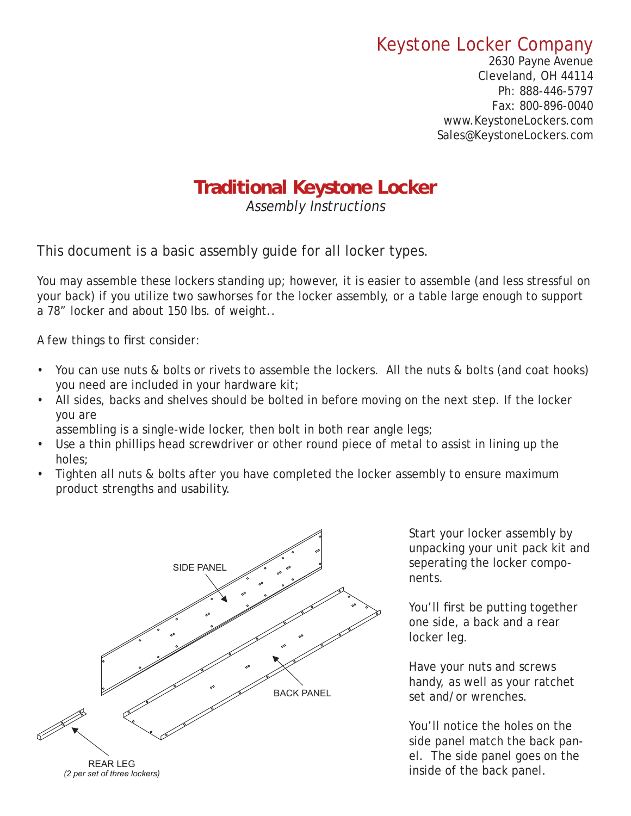## Keystone Locker Company

2630 Payne Avenue Cleveland, OH 44114 Ph: 888-446-5797 Fax: 800-896-0040 www.KeystoneLockers.com Sales@KeystoneLockers.com

## **Traditional Keystone Locker raditional Keystone**

Assembly Instructions

This document is a basic assembly guide for all locker types.

You may assemble these lockers standing up; however, it is easier to assemble (and less stressful on your back) if you utilize two sawhorses for the locker assembly, or a table large enough to support a 78" locker and about 150 lbs. of weight..

A few things to first consider:

- You can use nuts & bolts or rivets to assemble the lockers. All the nuts & bolts (and coat hooks) you need are included in your hardware kit;
- All sides, backs and shelves should be bolted in before moving on the next step. If the locker you are

assembling is a single-wide locker, then bolt in both rear angle legs;

- Use a thin phillips head screwdriver or other round piece of metal to assist in lining up the holes;
- Tighten all nuts & bolts after you have completed the locker assembly to ensure maximum product strengths and usability.



Start your locker assembly by unpacking your unit pack kit and seperating the locker components.

You'll first be putting together one side, a back and a rear locker leg.

Have your nuts and screws handy, as well as your ratchet set and/or wrenches.

You'll notice the holes on the side panel match the back panel. The side panel goes on the inside of the back panel.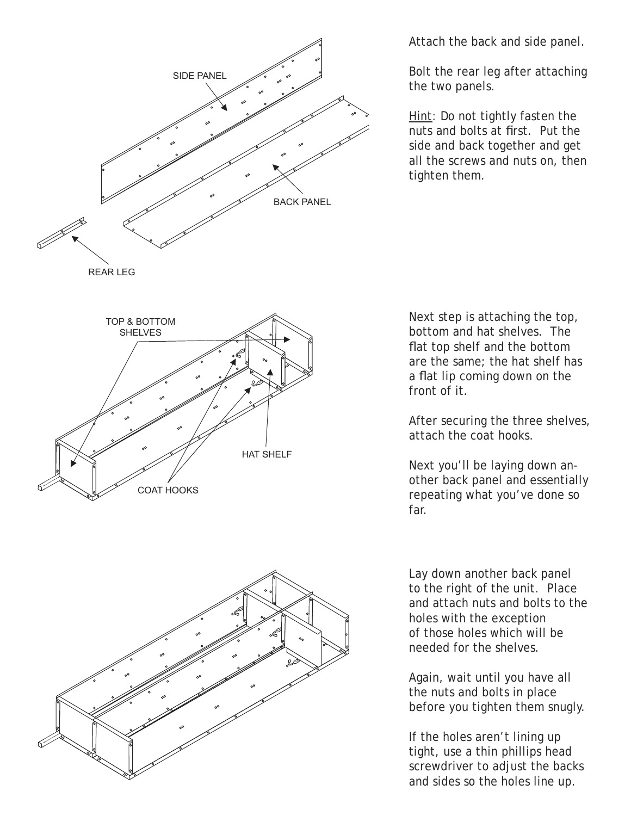



Attach the back and side panel.

Bolt the rear leg after attaching the two panels.

Hint: Do not tightly fasten the nuts and bolts at first. Put the side and back together and get all the screws and nuts on, then tighten them.

Next step is attaching the top, bottom and hat shelves. The flat top shelf and the bottom are the same; the hat shelf has a flat lip coming down on the front of it.

After securing the three shelves, attach the coat hooks.

Next you'll be laying down another back panel and essentially repeating what you've done so far.

Lay down another back panel to the right of the unit. Place and attach nuts and bolts to the holes with the exception of those holes which will be needed for the shelves.

Again, wait until you have all the nuts and bolts in place before you tighten them snugly.

If the holes aren't lining up tight, use a thin phillips head screwdriver to adjust the backs and sides so the holes line up.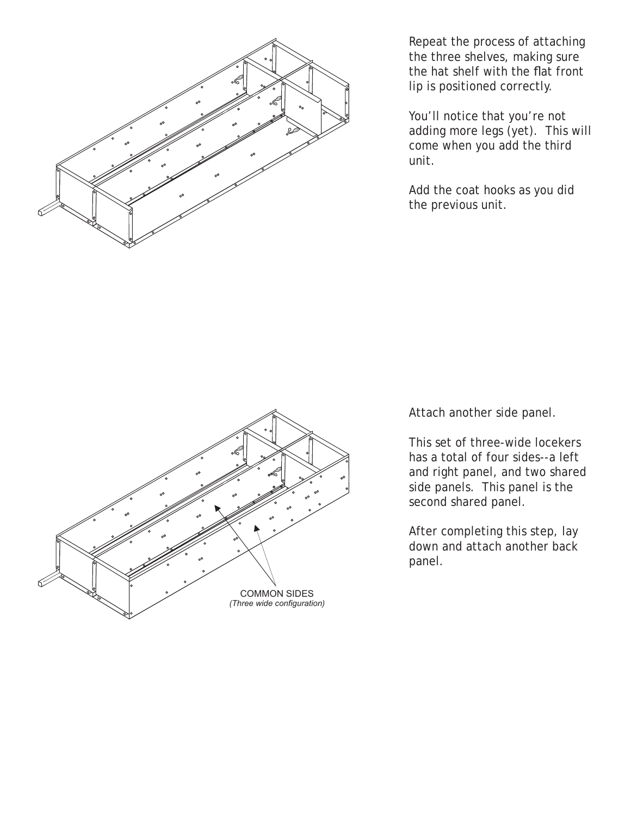

Repeat the process of attaching the three shelves, making sure the hat shelf with the flat front lip is positioned correctly.

You'll notice that you're not adding more legs (yet). This will come when you add the third unit.

Add the coat hooks as you did the previous unit.



Attach another side panel.

This set of three-wide locekers has a total of four sides--a left and right panel, and two shared side panels. This panel is the second shared panel.

After completing this step, lay down and attach another back panel.